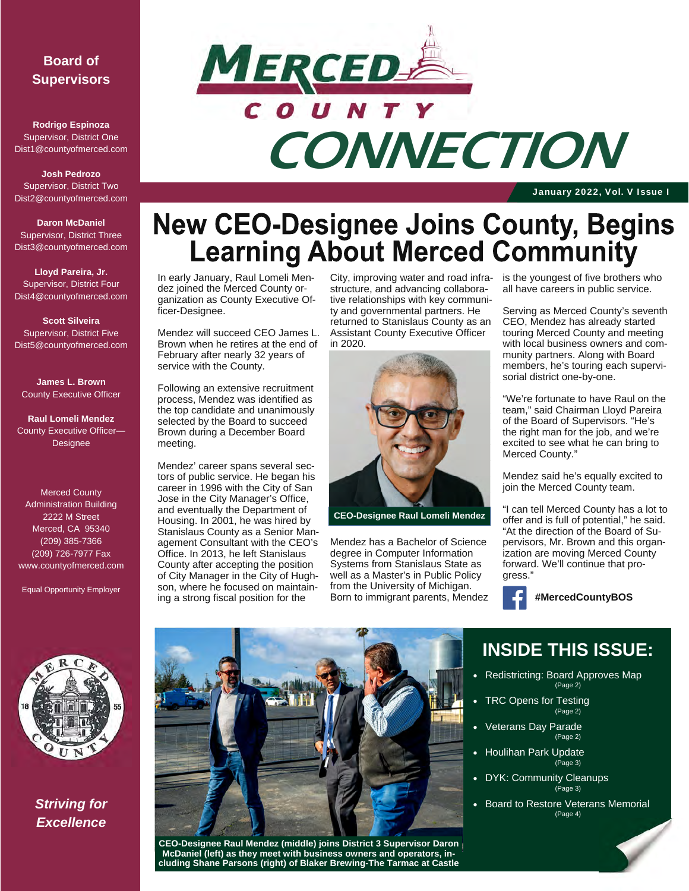### **Board of Supervisors**

**Rodrigo Espinoza**  Supervisor, District One Dist1@countyofmerced.com

**Josh Pedrozo**  Supervisor, District Two Dist2@countyofmerced.com

**Daron McDaniel**  Supervisor, District Three Dist3@countyofmerced.com

**Lloyd Pareira, Jr.**  Supervisor, District Four Dist4@countyofmerced.com

**Scott Silveira**  Supervisor, District Five Dist5@countyofmerced.com

**James L. Brown**  County Executive Officer

**Raul Lomeli Mendez**  County Executive Officer— **Designee** 

Merced County Administration Building 2222 M Street Merced, CA 95340 (209) 385-7366 (209) 726-7977 Fax www.countyofmerced.com

Equal Opportunity Employer



*Striving for Excellence* 



January 2022, Vol. V Issue I

# **New CEO-Designee Joins County, Begins<br>Learning About Merced Community**

In early January, Raul Lomeli Mendez joined the Merced County organization as County Executive Officer-Designee.

Mendez will succeed CEO James L. Brown when he retires at the end of February after nearly 32 years of service with the County.

Following an extensive recruitment process, Mendez was identified as the top candidate and unanimously selected by the Board to succeed Brown during a December Board meeting.

Mendez' career spans several sectors of public service. He began his career in 1996 with the City of San Jose in the City Manager's Office, and eventually the Department of Housing. In 2001, he was hired by Stanislaus County as a Senior Management Consultant with the CEO's Office. In 2013, he left Stanislaus County after accepting the position of City Manager in the City of Hughson, where he focused on maintaining a strong fiscal position for the

City, improving water and road infrastructure, and advancing collaborative relationships with key community and governmental partners. He returned to Stanislaus County as an Assistant County Executive Officer in 2020.



**CEO-Designee Raul Lomeli Mendez** 

Mendez has a Bachelor of Science degree in Computer Information Systems from Stanislaus State as well as a Master's in Public Policy from the University of Michigan. Born to immigrant parents, Mendez is the youngest of five brothers who all have careers in public service.

Serving as Merced County's seventh CEO, Mendez has already started touring Merced County and meeting with local business owners and community partners. Along with Board members, he's touring each supervisorial district one-by-one.

"We're fortunate to have Raul on the team," said Chairman Lloyd Pareira of the Board of Supervisors. "He's the right man for the job, and we're excited to see what he can bring to Merced County."

Mendez said he's equally excited to join the Merced County team.

"I can tell Merced County has a lot to offer and is full of potential," he said. "At the direction of the Board of Supervisors, Mr. Brown and this organization are moving Merced County forward. We'll continue that progress."



 **#MercedCountyBOS** 

# **INSIDE THIS ISSUE:**

- Redistricting: Board Approves Map (Page 2)
- TRC Opens for Testing (Page 2)
- Veterans Day Parade (Page 2)
- Houlihan Park Update (Page 3)
- DYK: Community Cleanups (Page 3)
- Board to Restore Veterans Memorial (Page 4)



**CEO-Designee Raul Mendez (middle) joins District 3 Supervisor Daron McDaniel (left) as they meet with business owners and operators, including Shane Parsons (right) of Blaker Brewing-The Tarmac at Castle**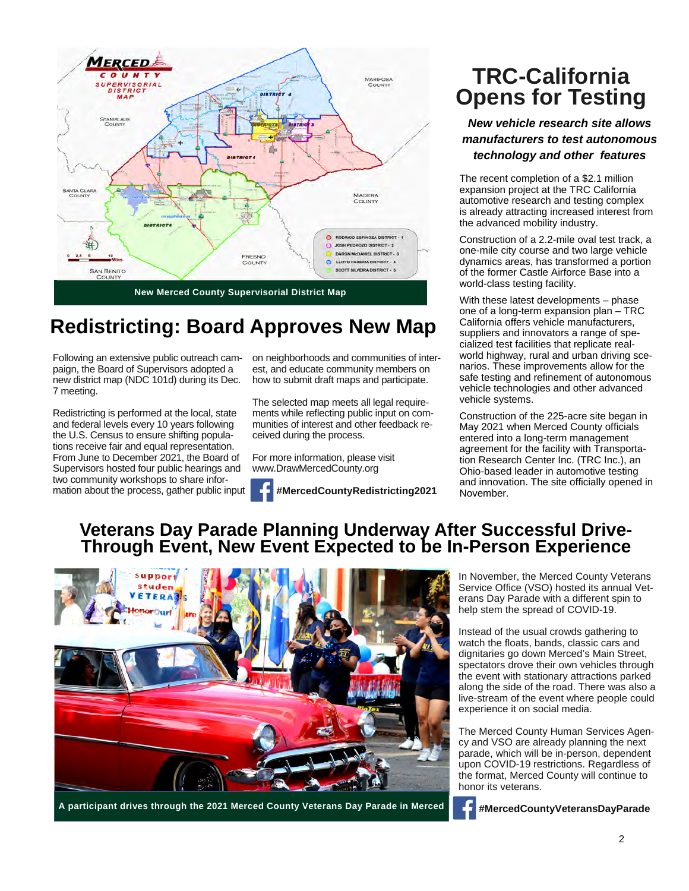

### **Redistricting: Board Approves New Map**

Following an extensive public outreach campaign, the Board of Supervisors adopted a new district map (NDC 101d) during its Dec. 7 meeting.

Redistricting is performed at the local, state and federal levels every 10 years following the U.S. Census to ensure shifting populations receive fair and equal representation. From June to December 2021, the Board of Supervisors hosted four public hearings and two community workshops to share information about the process, gather public input

on neighborhoods and communities of interest, and educate community members on how to submit draft maps and participate.

The selected map meets all legal requirements while reflecting public input on communities of interest and other feedback received during the process.

For more information, please visit www.DrawMercedCounty.org



# **TRC-California Opens for Testing**

*New vehicle research site allows manufacturers to test autonomous technology and other features*

The recent completion of a \$2.1 million expansion project at the TRC California automotive research and testing complex is already attracting increased interest from the advanced mobility industry.

Construction of a 2.2-mile oval test track, a one-mile city course and two large vehicle dynamics areas, has transformed a portion of the former Castle Airforce Base into a world-class testing facility.

With these latest developments – phase one of a long-term expansion plan – TRC California offers vehicle manufacturers, suppliers and innovators a range of specialized test facilities that replicate realworld highway, rural and urban driving scenarios. These improvements allow for the safe testing and refinement of autonomous vehicle technologies and other advanced vehicle systems.

Construction of the 225-acre site began in May 2021 when Merced County officials entered into a long-term management agreement for the facility with Transportation Research Center Inc. (TRC Inc.), an Ohio-based leader in automotive testing and innovation. The site officially opened in November.

### **Veterans Day Parade Planning Underway After Successful Drive-Through Event, New Event Expected to be In-Person Experience**



**A participant drives through the 2021 Merced County Veterans Day Parade in Merced** 

In November, the Merced County Veterans Service Office (VSO) hosted its annual Veterans Day Parade with a different spin to help stem the spread of COVID-19.

Instead of the usual crowds gathering to watch the floats, bands, classic cars and dignitaries go down Merced's Main Street, spectators drove their own vehicles through the event with stationary attractions parked along the side of the road. There was also a live-stream of the event where people could experience it on social media.

The Merced County Human Services Agency and VSO are already planning the next parade, which will be in-person, dependent upon COVID-19 restrictions. Regardless of the format, Merced County will continue to honor its veterans.

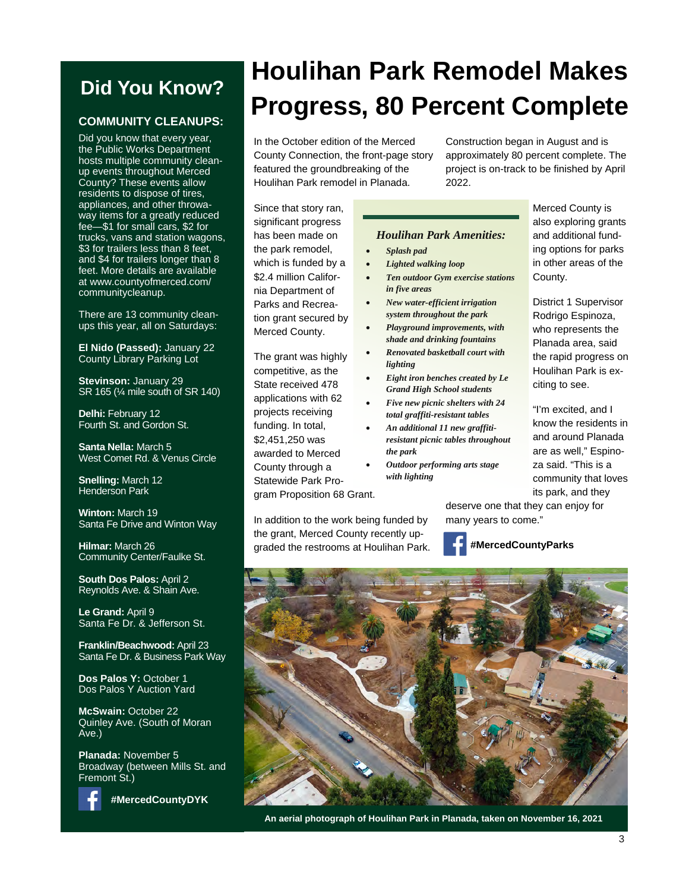### **Did You Know?**

### **COMMUNITY CLEANUPS:**

Did you know that every year, the Public Works Department hosts multiple community cleanup events throughout Merced County? These events allow residents to dispose of tires, appliances, and other throwaway items for a greatly reduced fee—\$1 for small cars, \$2 for trucks, vans and station wagons, \$3 for trailers less than 8 feet, and \$4 for trailers longer than 8 feet. More details are available at www.countyofmerced.com/ communitycleanup.

There are 13 community cleanups this year, all on Saturdays:

**El Nido (Passed):** January 22 County Library Parking Lot

**Stevinson:** January 29 SR 165 (¼ mile south of SR 140)

**Delhi:** February 12 Fourth St. and Gordon St.

**Santa Nella:** March 5 West Comet Rd. & Venus Circle

**Snelling:** March 12 Henderson Park

**Winton:** March 19 Santa Fe Drive and Winton Way

**Hilmar:** March 26 Community Center/Faulke St.

**South Dos Palos:** April 2 Reynolds Ave. & Shain Ave.

**Le Grand:** April 9 Santa Fe Dr. & Jefferson St.

**Franklin/Beachwood:** April 23 Santa Fe Dr. & Business Park Way

**Dos Palos Y:** October 1 Dos Palos Y Auction Yard

**McSwain:** October 22 Quinley Ave. (South of Moran Ave.)

**Planada:** November 5 Broadway (between Mills St. and Fremont St.)



**#MercedCountyDYK**

# **Houlihan Park Remodel Makes Progress, 80 Percent Complete**

In the October edition of the Merced County Connection, the front-page story featured the groundbreaking of the Houlihan Park remodel in Planada.

Construction began in August and is approximately 80 percent complete. The project is on-track to be finished by April 2022.

Since that story ran, significant progress has been made on the park remodel, which is funded by a \$2.4 million California Department of Parks and Recreation grant secured by Merced County.

The grant was highly competitive, as the State received 478 applications with 62 projects receiving funding. In total, \$2,451,250 was awarded to Merced County through a Statewide Park Program Proposition 68 Grant.

In addition to the work being funded by the grant, Merced County recently upgraded the restrooms at Houlihan Park.

#### *Houlihan Park Amenities:*

- *Splash pad*
- *Lighted walking loop*
- *Ten outdoor Gym exercise stations in five areas*
- *New water-efficient irrigation system throughout the park*
- *Playground improvements, with shade and drinking fountains*
- *Renovated basketball court with lighting*
- *Eight iron benches created by Le Grand High School students*
- *Five new picnic shelters with 24 total graffiti-resistant tables*
- *An additional 11 new graffitiresistant picnic tables throughout the park*
- *Outdoor performing arts stage with lighting*

Merced County is also exploring grants and additional funding options for parks in other areas of the County.

District 1 Supervisor Rodrigo Espinoza, who represents the Planada area, said the rapid progress on Houlihan Park is exciting to see.

"I'm excited, and I know the residents in and around Planada are as well," Espinoza said. "This is a community that loves its park, and they

deserve one that they can enjoy for many years to come."

### **#MercedCountyParks**



**An aerial photograph of Houlihan Park in Planada, taken on November 16, 2021**